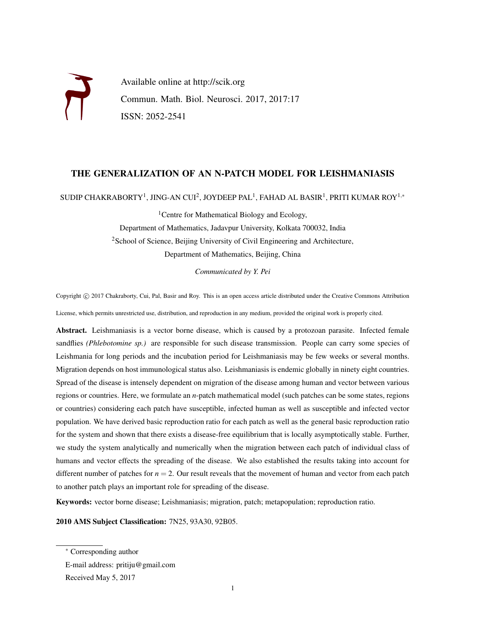

#### THE GENERALIZATION OF AN N-PATCH MODEL FOR LEISHMANIASIS

SUDIP CHAKRABORTY $^1$ , JING-AN CUI $^2$ , JOYDEEP PAL $^1$ , FAHAD AL BASIR $^1$ , PRITI KUMAR ROY $^{1,\ast}$ 

<sup>1</sup> Centre for Mathematical Biology and Ecology, Department of Mathematics, Jadavpur University, Kolkata 700032, India <sup>2</sup>School of Science, Beijing University of Civil Engineering and Architecture, Department of Mathematics, Beijing, China

*Communicated by Y. Pei*

Copyright © 2017 Chakraborty, Cui, Pal, Basir and Roy. This is an open access article distributed under the Creative Commons Attribution License, which permits unrestricted use, distribution, and reproduction in any medium, provided the original work is properly cited.

Abstract. Leishmaniasis is a vector borne disease, which is caused by a protozoan parasite. Infected female sandflies *(Phlebotomine sp.)* are responsible for such disease transmission. People can carry some species of Leishmania for long periods and the incubation period for Leishmaniasis may be few weeks or several months. Migration depends on host immunological status also. Leishmaniasis is endemic globally in ninety eight countries. Spread of the disease is intensely dependent on migration of the disease among human and vector between various regions or countries. Here, we formulate an *n*-patch mathematical model (such patches can be some states, regions or countries) considering each patch have susceptible, infected human as well as susceptible and infected vector population. We have derived basic reproduction ratio for each patch as well as the general basic reproduction ratio for the system and shown that there exists a disease-free equilibrium that is locally asymptotically stable. Further, we study the system analytically and numerically when the migration between each patch of individual class of humans and vector effects the spreading of the disease. We also established the results taking into account for different number of patches for  $n = 2$ . Our result reveals that the movement of human and vector from each patch to another patch plays an important role for spreading of the disease.

Keywords: vector borne disease; Leishmaniasis; migration, patch; metapopulation; reproduction ratio.

2010 AMS Subject Classification: 7N25, 93A30, 92B05.

<sup>∗</sup> Corresponding author

E-mail address: pritiju@gmail.com

Received May 5, 2017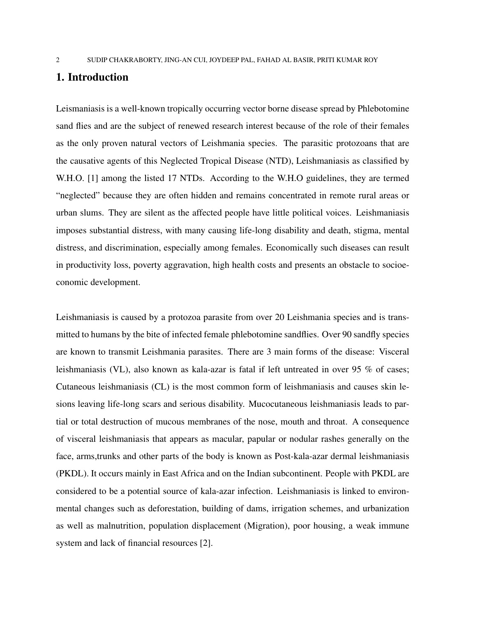### 1. Introduction

Leismaniasis is a well-known tropically occurring vector borne disease spread by Phlebotomine sand flies and are the subject of renewed research interest because of the role of their females as the only proven natural vectors of Leishmania species. The parasitic protozoans that are the causative agents of this Neglected Tropical Disease (NTD), Leishmaniasis as classified by W.H.O. [1] among the listed 17 NTDs. According to the W.H.O guidelines, they are termed "neglected" because they are often hidden and remains concentrated in remote rural areas or urban slums. They are silent as the affected people have little political voices. Leishmaniasis imposes substantial distress, with many causing life-long disability and death, stigma, mental distress, and discrimination, especially among females. Economically such diseases can result in productivity loss, poverty aggravation, high health costs and presents an obstacle to socioeconomic development.

Leishmaniasis is caused by a protozoa parasite from over 20 Leishmania species and is transmitted to humans by the bite of infected female phlebotomine sandflies. Over 90 sandfly species are known to transmit Leishmania parasites. There are 3 main forms of the disease: Visceral leishmaniasis (VL), also known as kala-azar is fatal if left untreated in over 95 % of cases; Cutaneous leishmaniasis (CL) is the most common form of leishmaniasis and causes skin lesions leaving life-long scars and serious disability. Mucocutaneous leishmaniasis leads to partial or total destruction of mucous membranes of the nose, mouth and throat. A consequence of visceral leishmaniasis that appears as macular, papular or nodular rashes generally on the face, arms,trunks and other parts of the body is known as Post-kala-azar dermal leishmaniasis (PKDL). It occurs mainly in East Africa and on the Indian subcontinent. People with PKDL are considered to be a potential source of kala-azar infection. Leishmaniasis is linked to environmental changes such as deforestation, building of dams, irrigation schemes, and urbanization as well as malnutrition, population displacement (Migration), poor housing, a weak immune system and lack of financial resources [2].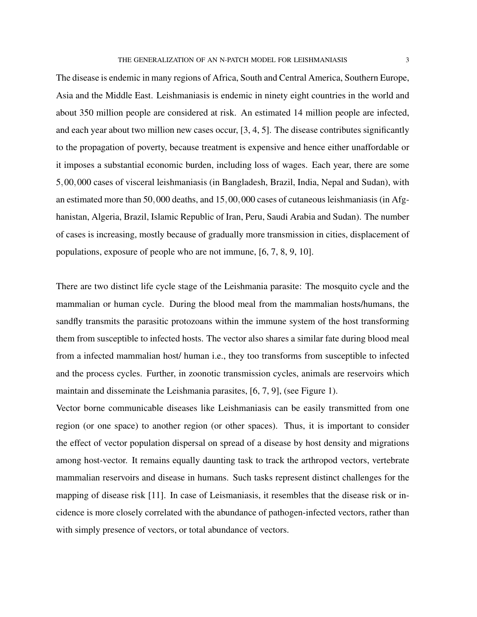The disease is endemic in many regions of Africa, South and Central America, Southern Europe, Asia and the Middle East. Leishmaniasis is endemic in ninety eight countries in the world and about 350 million people are considered at risk. An estimated 14 million people are infected, and each year about two million new cases occur, [3, 4, 5]. The disease contributes significantly to the propagation of poverty, because treatment is expensive and hence either unaffordable or it imposes a substantial economic burden, including loss of wages. Each year, there are some 5,00,000 cases of visceral leishmaniasis (in Bangladesh, Brazil, India, Nepal and Sudan), with an estimated more than 50,000 deaths, and 15,00,000 cases of cutaneous leishmaniasis (in Afghanistan, Algeria, Brazil, Islamic Republic of Iran, Peru, Saudi Arabia and Sudan). The number of cases is increasing, mostly because of gradually more transmission in cities, displacement of populations, exposure of people who are not immune, [6, 7, 8, 9, 10].

There are two distinct life cycle stage of the Leishmania parasite: The mosquito cycle and the mammalian or human cycle. During the blood meal from the mammalian hosts/humans, the sandfly transmits the parasitic protozoans within the immune system of the host transforming them from susceptible to infected hosts. The vector also shares a similar fate during blood meal from a infected mammalian host/ human i.e., they too transforms from susceptible to infected and the process cycles. Further, in zoonotic transmission cycles, animals are reservoirs which maintain and disseminate the Leishmania parasites, [6, 7, 9], (see Figure 1).

Vector borne communicable diseases like Leishmaniasis can be easily transmitted from one region (or one space) to another region (or other spaces). Thus, it is important to consider the effect of vector population dispersal on spread of a disease by host density and migrations among host-vector. It remains equally daunting task to track the arthropod vectors, vertebrate mammalian reservoirs and disease in humans. Such tasks represent distinct challenges for the mapping of disease risk [11]. In case of Leismaniasis, it resembles that the disease risk or incidence is more closely correlated with the abundance of pathogen-infected vectors, rather than with simply presence of vectors, or total abundance of vectors.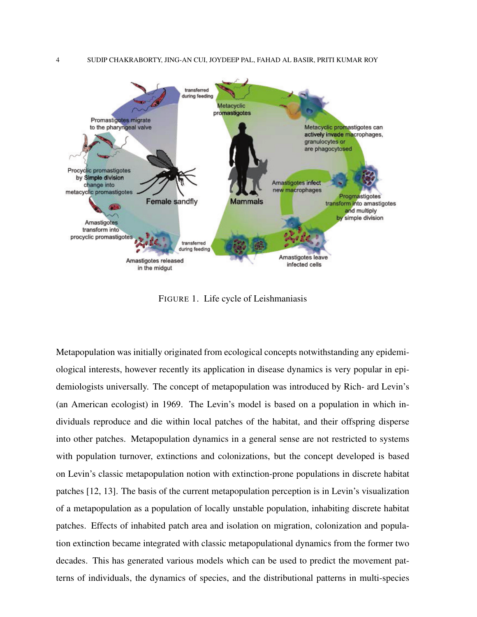

FIGURE 1. Life cycle of Leishmaniasis

Metapopulation was initially originated from ecological concepts notwithstanding any epidemiological interests, however recently its application in disease dynamics is very popular in epidemiologists universally. The concept of metapopulation was introduced by Rich- ard Levin's (an American ecologist) in 1969. The Levin's model is based on a population in which individuals reproduce and die within local patches of the habitat, and their offspring disperse into other patches. Metapopulation dynamics in a general sense are not restricted to systems with population turnover, extinctions and colonizations, but the concept developed is based on Levin's classic metapopulation notion with extinction-prone populations in discrete habitat patches [12, 13]. The basis of the current metapopulation perception is in Levin's visualization of a metapopulation as a population of locally unstable population, inhabiting discrete habitat patches. Effects of inhabited patch area and isolation on migration, colonization and population extinction became integrated with classic metapopulational dynamics from the former two decades. This has generated various models which can be used to predict the movement patterns of individuals, the dynamics of species, and the distributional patterns in multi-species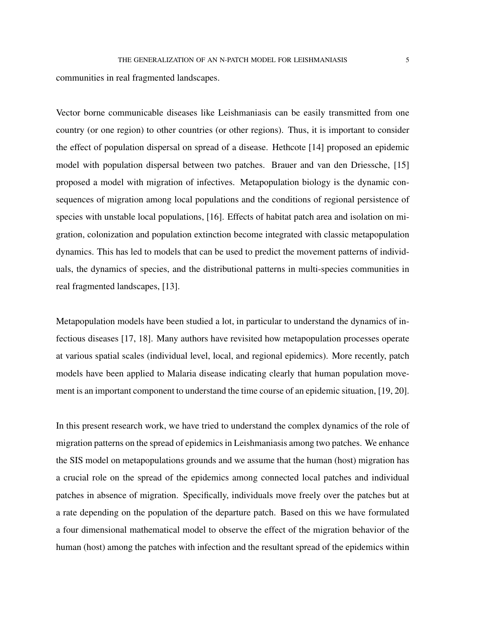communities in real fragmented landscapes.

Vector borne communicable diseases like Leishmaniasis can be easily transmitted from one country (or one region) to other countries (or other regions). Thus, it is important to consider the effect of population dispersal on spread of a disease. Hethcote [14] proposed an epidemic model with population dispersal between two patches. Brauer and van den Driessche, [15] proposed a model with migration of infectives. Metapopulation biology is the dynamic consequences of migration among local populations and the conditions of regional persistence of species with unstable local populations, [16]. Effects of habitat patch area and isolation on migration, colonization and population extinction become integrated with classic metapopulation dynamics. This has led to models that can be used to predict the movement patterns of individuals, the dynamics of species, and the distributional patterns in multi-species communities in real fragmented landscapes, [13].

Metapopulation models have been studied a lot, in particular to understand the dynamics of infectious diseases [17, 18]. Many authors have revisited how metapopulation processes operate at various spatial scales (individual level, local, and regional epidemics). More recently, patch models have been applied to Malaria disease indicating clearly that human population movement is an important component to understand the time course of an epidemic situation, [19, 20].

In this present research work, we have tried to understand the complex dynamics of the role of migration patterns on the spread of epidemics in Leishmaniasis among two patches. We enhance the SIS model on metapopulations grounds and we assume that the human (host) migration has a crucial role on the spread of the epidemics among connected local patches and individual patches in absence of migration. Specifically, individuals move freely over the patches but at a rate depending on the population of the departure patch. Based on this we have formulated a four dimensional mathematical model to observe the effect of the migration behavior of the human (host) among the patches with infection and the resultant spread of the epidemics within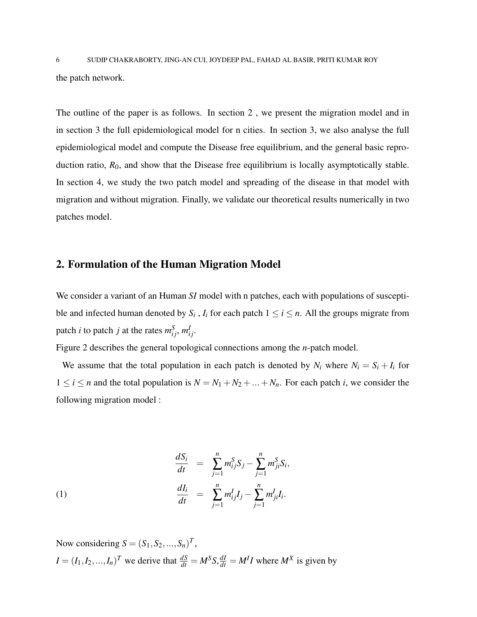6 SUDIP CHAKRABORTY, JING-AN CUI, JOYDEEP PAL, FAHAD AL BASIR, PRITI KUMAR ROY the patch network.

The outline of the paper is as follows. In section 2 , we present the migration model and in in section 3 the full epidemiological model for n cities. In section 3, we also analyse the full epidemiological model and compute the Disease free equilibrium, and the general basic reproduction ratio,  $R_0$ , and show that the Disease free equilibrium is locally asymptotically stable. In section 4, we study the two patch model and spreading of the disease in that model with migration and without migration. Finally, we validate our theoretical results numerically in two patches model.

### 2. Formulation of the Human Migration Model

We consider a variant of an Human *SI* model with n patches, each with populations of susceptible and infected human denoted by  $S_i$ ,  $I_i$  for each patch  $1 \le i \le n$ . All the groups migrate from patch *i* to patch *j* at the rates  $m_{ij}^S$ ,  $m_{ij}^I$ .

Figure 2 describes the general topological connections among the *n*-patch model.

We assume that the total population in each patch is denoted by  $N_i$  where  $N_i = S_i + I_i$  for  $1 \le i \le n$  and the total population is  $N = N_1 + N_2 + ... + N_n$ . For each patch *i*, we consider the following migration model :

(1)  
\n
$$
\frac{dS_i}{dt} = \sum_{j=1}^n m_{ij}^S S_j - \sum_{j=1}^n m_{ji}^S S_i,
$$
\n
$$
\frac{dI_i}{dt} = \sum_{j=1}^n m_{ij}^I I_j - \sum_{j=1}^n m_{ji}^I I_i.
$$

Now considering  $S = (S_1, S_2, ..., S_n)^T$ ,  $I = (I_1, I_2, ..., I_n)^T$  we derive that  $\frac{dS}{dt} = M^S S$ ,  $\frac{dI}{dt} = M^I I$  where  $M^X$  is given by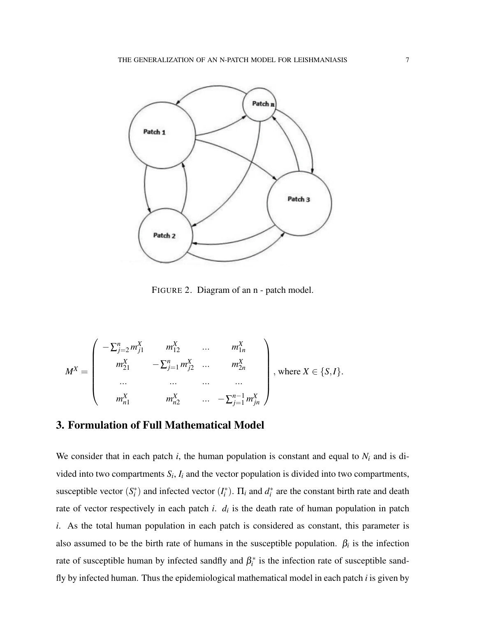

FIGURE 2. Diagram of an n - patch model.

$$
M^{X} = \begin{pmatrix} -\sum_{j=2}^{n} m_{j1}^{X} & m_{12}^{X} & \dots & m_{1n}^{X} \\ m_{21}^{X} & -\sum_{j=1}^{n} m_{j2}^{X} & \dots & m_{2n}^{X} \\ \dots & \dots & \dots & \dots \\ m_{n1}^{X} & m_{n2}^{X} & \dots & -\sum_{j=1}^{n-1} m_{jn}^{X} \end{pmatrix}, \text{ where } X \in \{S, I\}.
$$

### 3. Formulation of Full Mathematical Model

We consider that in each patch  $i$ , the human population is constant and equal to  $N_i$  and is divided into two compartments  $S_i$ ,  $I_i$  and the vector population is divided into two compartments, susceptible vector  $(S_i^*)$  and infected vector  $(I_i^*)$ .  $\Pi_i$  and  $d_i^*$  are the constant birth rate and death rate of vector respectively in each patch *i*. *d<sup>i</sup>* is the death rate of human population in patch *i*. As the total human population in each patch is considered as constant, this parameter is also assumed to be the birth rate of humans in the susceptible population.  $\beta_i$  is the infection rate of susceptible human by infected sandfly and  $\beta_i^*$  is the infection rate of susceptible sandfly by infected human. Thus the epidemiological mathematical model in each patch *i* is given by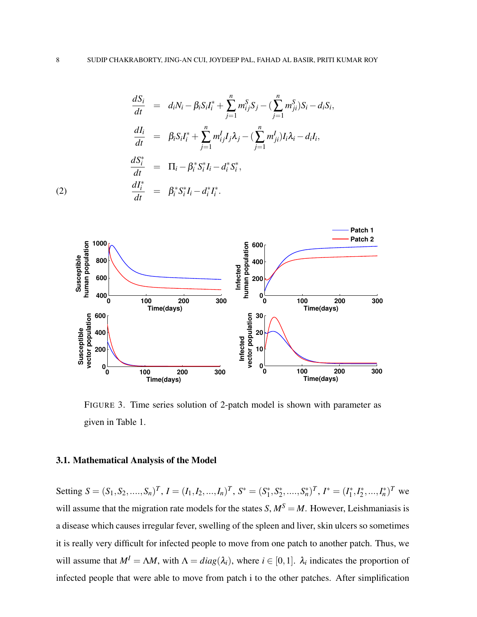(2)  
\n
$$
\frac{dS_i}{dt} = d_iN_i - \beta_i S_i I_i^* + \sum_{j=1}^n m_{ij}^S S_j - (\sum_{j=1}^n m_{ji}^S) S_i - d_i S_i,
$$
\n
$$
\frac{dI_i}{dt} = \beta_i S_i I_i^* + \sum_{j=1}^n m_{ij}^I I_j \lambda_j - (\sum_{j=1}^n m_{ji}^I) I_i \lambda_i - d_i I_i,
$$
\n
$$
\frac{dS_i^*}{dt} = \Pi_i - \beta_i^* S_i^* I_i - d_i^* S_i^*,
$$
\n
$$
\frac{dI_i^*}{dt} = \beta_i^* S_i^* I_i - d_i^* I_i^*.
$$



FIGURE 3. Time series solution of 2-patch model is shown with parameter as given in Table 1.

#### 3.1. Mathematical Analysis of the Model

Setting  $S = (S_1, S_2, \ldots, S_n)^T$ ,  $I = (I_1, I_2, \ldots, I_n)^T$ ,  $S^* = (S_1^*$ 1 ,*S* ∗  $\{X_2^*, \ldots, S_n^*\}^T, I^* = (I_1^*)^T$  $I_1^*, I_2^*$  $\binom{1}{2}, \ldots, I_n^*$ <sup>T</sup> we will assume that the migration rate models for the states *S*,  $M<sup>S</sup> = M$ . However, Leishmaniasis is a disease which causes irregular fever, swelling of the spleen and liver, skin ulcers so sometimes it is really very difficult for infected people to move from one patch to another patch. Thus, we will assume that  $M^I = \Lambda M$ , with  $\Lambda = diag(\lambda_i)$ , where  $i \in [0,1]$ .  $\lambda_i$  indicates the proportion of infected people that were able to move from patch i to the other patches. After simplification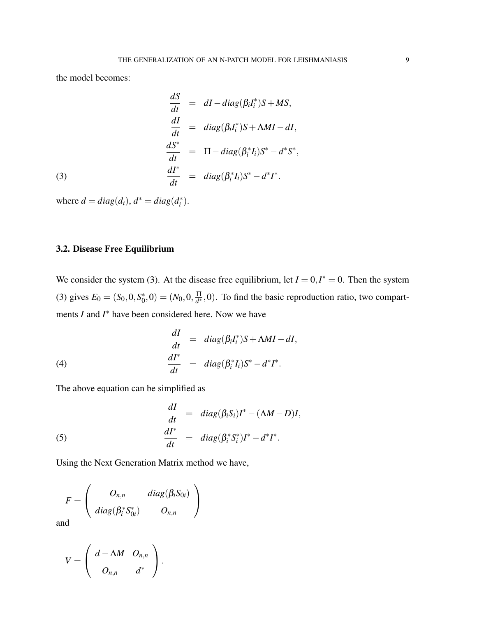the model becomes:

(3)  
\n
$$
\frac{dS}{dt} = dI - diag(\beta_i I_i^*)S + MS,
$$
\n
$$
\frac{dI}{dt} = diag(\beta_i I_i^*)S + \Lambda MI - dI,
$$
\n
$$
\frac{dS^*}{dt} = \Pi - diag(\beta_i^* I_i)S^* - d^*S^*,
$$
\n
$$
\frac{dI^*}{dt} = diag(\beta_i^* I_i)S^* - d^*I^*.
$$

where  $d = diag(d_i)$ ,  $d^* = diag(d_i^*)$ .

#### 3.2. Disease Free Equilibrium

We consider the system (3). At the disease free equilibrium, let  $I = 0, I^* = 0$ . Then the system (3) gives  $E_0 = (S_0, 0, S_0^*)$  $\chi_{0}^{*},0)=(N_{0},0,\frac{\Pi}{d^{*}}% )^{2}$  $\frac{11}{d^*}$ ,0). To find the basic reproduction ratio, two compartments *I* and *I*<sup>∗</sup> have been considered here. Now we have

(4)  
\n
$$
\frac{dI}{dt} = diag(\beta_i I_i^*)S + \Lambda MI - dI,
$$
\n
$$
\frac{dI^*}{dt} = diag(\beta_i^* I_i)S^* - d^*I^*.
$$

The above equation can be simplified as

(5) 
$$
\begin{aligned}\n\frac{dI}{dt} &= diag(\beta_i S_i)I^* - (\Lambda M - D)I, \\
\frac{dI^*}{dt} &= diag(\beta_i^* S_i^*)I^* - d^*I^*. \n\end{aligned}
$$

Using the Next Generation Matrix method we have,

$$
F = \left(\begin{array}{cc} O_{n,n} & diag(\beta_i S_{0i}) \\ diag(\beta_i^* S_{0i}^*) & O_{n,n} \end{array}\right)
$$
d

and

$$
V=\left(\begin{array}{cc} d-\Lambda M & O_{n,n} \\ O_{n,n} & d^*\end{array}\right).
$$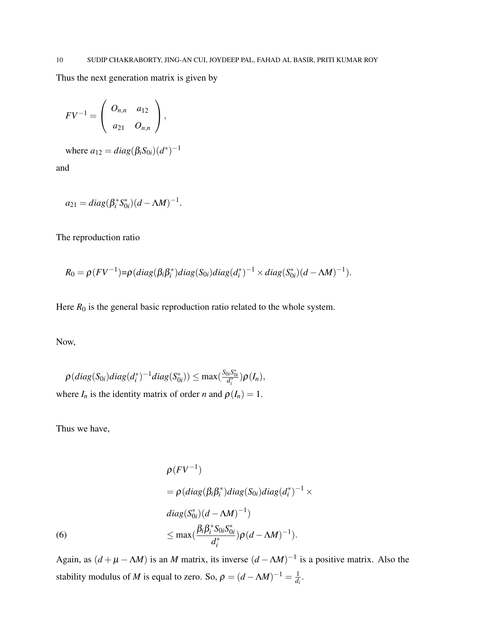Thus the next generation matrix is given by

$$
FV^{-1} = \left(\begin{array}{cc} O_{n,n} & a_{12} \\ a_{21} & O_{n,n} \end{array}\right),
$$

where  $a_{12} = diag(\beta_i S_{0i})(d^*)^{-1}$ 

and

$$
a_{21} = diag(\beta_i^* S_{0i}^*)(d - \Lambda M)^{-1}.
$$

The reproduction ratio

$$
R_0 = \rho (FV^{-1}) = \rho (diag(\beta_i \beta_i^*)diag(S_{0i})diag(d_i^*)^{-1} \times diag(S_{0i}^*) (d - \Lambda M)^{-1}).
$$

Here  $R_0$  is the general basic reproduction ratio related to the whole system.

Now,

$$
\rho(diag(S_{0i})diag(d_i^*)^{-1}diag(S_{0i}^*)) \leq \max(\frac{S_{0i}S_{0i}^*}{d_i^*})\rho(I_n),
$$
  
where  $I_n$  is the identity matrix of order *n* and  $\rho(I_n) = 1$ .

Thus we have,

$$
\rho(FV^{-1})
$$
  
=  $\rho(diag(\beta_i\beta_i^*)diag(S_{0i})diag(d_i^*)^{-1} \times diag(S_{0i}^*)(d - \Lambda M)^{-1})$   
(6)  

$$
\leq \max(\frac{\beta_i\beta_i^*S_{0i}S_{0i}^*}{d_i^*})\rho(d - \Lambda M)^{-1}).
$$

Again, as  $(d + \mu - \Lambda M)$  is an *M* matrix, its inverse  $(d - \Lambda M)^{-1}$  is a positive matrix. Also the stability modulus of *M* is equal to zero. So,  $\rho = (d - \Lambda M)^{-1} = \frac{1}{d}$  $\frac{1}{d_i}$ .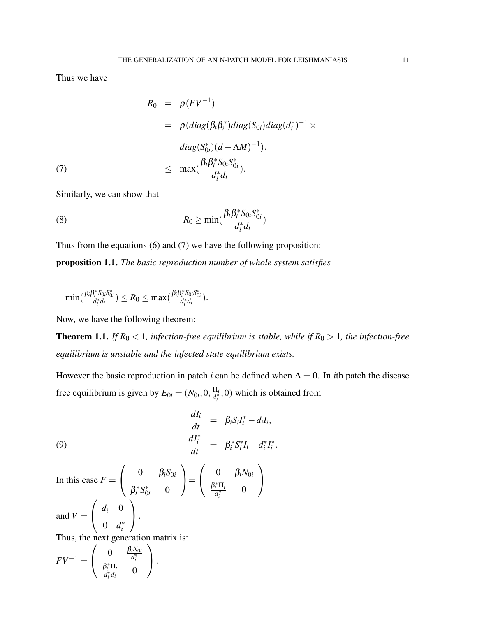Thus we have

$$
R_0 = \rho (FV^{-1})
$$
  
= 
$$
\rho (diag(\beta_i \beta_i^*) diag(S_{0i}) diag(d_i^*)^{-1} \times diag(S_{0i}^*) (d - \Lambda M)^{-1}).
$$
  

$$
\leq max(\frac{\beta_i \beta_i^* S_{0i} S_{0i}^*}{d_i^* d_i}).
$$

Similarly, we can show that

(8) 
$$
R_0 \geq \min(\frac{\beta_i \beta_i^* S_{0i} S_{0i}^*}{d_i^* d_i})
$$

Thus from the equations (6) and (7) we have the following proposition:

proposition 1.1. *The basic reproduction number of whole system satisfies*

$$
\min(\tfrac{\beta_i\beta_i^*S_{0i}S_{0i}^*}{d_i^*d_i})\leq R_0\leq \max(\tfrac{\beta_i\beta_i^*S_{0i}S_{0i}^*}{d_i^*d_i}).
$$

Now, we have the following theorem:

**Theorem 1.1.** *If*  $R_0 < 1$ *, infection-free equilibrium is stable, while if*  $R_0 > 1$ *, the infection-free equilibrium is unstable and the infected state equilibrium exists.*

However the basic reproduction in patch *i* can be defined when  $\Lambda = 0$ . In *i*th patch the disease free equilibrium is given by  $E_{0i} = (N_{0i}, 0, \frac{\Pi_i}{d^*})$  $\frac{d\mathbf{I}_i}{dt}$ , 0) which is obtained from

(9) 
$$
\begin{aligned}\n\frac{dI_i}{dt} &= \beta_i S_i I_i^* - d_i I_i, \\
\frac{dI_i^*}{dt} &= \beta_i^* S_i^* I_i - d_i^* I_i^*.\n\end{aligned}
$$

In this case  $F =$  $\sqrt{ }$  $\overline{1}$ 0  $\beta_i S_{0i}$  $\beta_i^* S_0^*$  $_{0i}^*$  0  $\setminus$  $\Big\} =$  $\sqrt{ }$  $\overline{1}$ 0  $\beta_i N_{0i}$  $β<sub>i</sub><sup>*</sup>Π<sub>i</sub>$  $\frac{i}{d_i^*}$  0  $\setminus$  $\overline{1}$ and  $V =$  $\sqrt{ }$  $\overline{1}$  $d_i$  0 0  $d_i^*$  $\setminus$  $\vert \cdot \vert$ Thus, the next generation matrix is:

$$
F V^{-1} = \left(\begin{array}{cc} 0 & \frac{\beta_i N_{0i}}{d_i^*} \\ \frac{\beta_i^* \Pi_i}{d_i^* d_i} & 0 \end{array}\right).
$$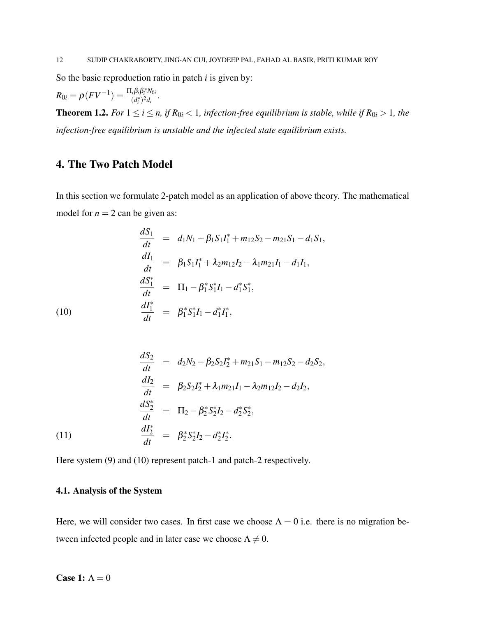So the basic reproduction ratio in patch *i* is given by:

$$
R_{0i} = \rho (F V^{-1}) = \frac{\Pi_i \beta_i \beta_i^* N_{0i}}{(d_i^*)^2 d_i}.
$$

**Theorem 1.2.** *For*  $1 \le i \le n$ , *if*  $R_{0i} < 1$ , *infection-free equilibrium is stable, while if*  $R_{0i} > 1$ , *the infection-free equilibrium is unstable and the infected state equilibrium exists.*

# 4. The Two Patch Model

In this section we formulate 2-patch model as an application of above theory. The mathematical model for  $n = 2$  can be given as:

$$
\frac{dS_1}{dt} = d_1N_1 - \beta_1S_1I_1^* + m_{12}S_2 - m_{21}S_1 - d_1S_1,
$$
\n
$$
\frac{dI_1}{dt} = \beta_1S_1I_1^* + \lambda_2m_{12}I_2 - \lambda_1m_{21}I_1 - d_1I_1,
$$
\n
$$
\frac{dS_1^*}{dt} = \Pi_1 - \beta_1^*S_1^*I_1 - d_1^*S_1^*,
$$
\n(10)\n
$$
\frac{dI_1^*}{dt} = \beta_1^*S_1^*I_1 - d_1^*I_1^*,
$$

$$
\frac{dS_2}{dt} = d_2N_2 - \beta_2S_2I_2^* + m_{21}S_1 - m_{12}S_2 - d_2S_2,
$$
\n
$$
\frac{dI_2}{dt} = \beta_2S_2I_2^* + \lambda_1m_{21}I_1 - \lambda_2m_{12}I_2 - d_2I_2,
$$
\n
$$
\frac{dS_2^*}{dt} = \Pi_2 - \beta_2^*S_2^*I_2 - d_2^*S_2^*.
$$
\n(11)\n
$$
\frac{dI_2^*}{dt} = \beta_2^*S_2^*I_2 - d_2^*I_2^*.
$$

Here system (9) and (10) represent patch-1 and patch-2 respectively.

#### 4.1. Analysis of the System

Here, we will consider two cases. In first case we choose  $\Lambda = 0$  i.e. there is no migration between infected people and in later case we choose  $\Lambda \neq 0$ .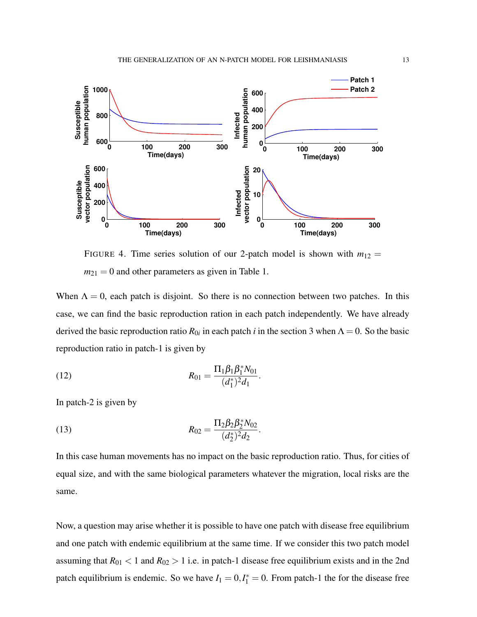

FIGURE 4. Time series solution of our 2-patch model is shown with  $m_{12} =$  $m_{21} = 0$  and other parameters as given in Table 1.

When  $\Lambda = 0$ , each patch is disjoint. So there is no connection between two patches. In this case, we can find the basic reproduction ration in each patch independently. We have already derived the basic reproduction ratio  $R_{0i}$  in each patch *i* in the section 3 when  $\Lambda = 0$ . So the basic reproduction ratio in patch-1 is given by

(12) 
$$
R_{01} = \frac{\Pi_1 \beta_1 \beta_1^* N_{01}}{(d_1^*)^2 d_1}.
$$

In patch-2 is given by

(13) 
$$
R_{02} = \frac{\Pi_2 \beta_2 \beta_2^* N_{02}}{(d_2^*)^2 d_2}.
$$

In this case human movements has no impact on the basic reproduction ratio. Thus, for cities of equal size, and with the same biological parameters whatever the migration, local risks are the same.

Now, a question may arise whether it is possible to have one patch with disease free equilibrium and one patch with endemic equilibrium at the same time. If we consider this two patch model assuming that  $R_{01}$  < 1 and  $R_{02}$  > 1 i.e. in patch-1 disease free equilibrium exists and in the 2nd patch equilibrium is endemic. So we have  $I_1 = 0, I_1^* = 0$ . From patch-1 the for the disease free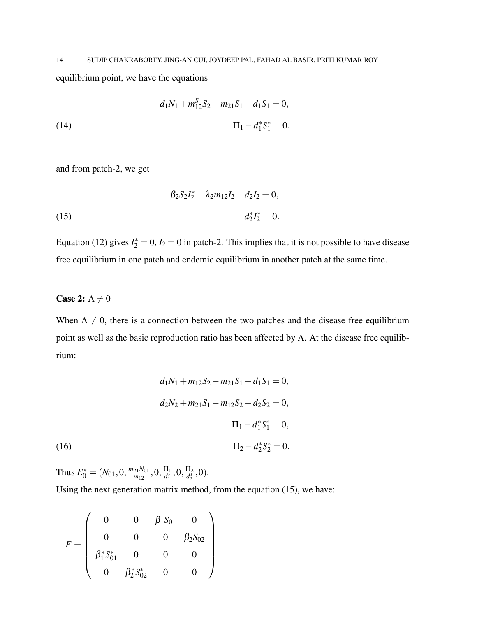equilibrium point, we have the equations

(14) 
$$
d_1N_1 + m_{12}^S S_2 - m_{21}S_1 - d_1S_1 = 0,
$$

$$
\Pi_1 - d_1^* S_1^* = 0.
$$

and from patch-2, we get

(15) 
$$
\beta_2 S_2 I_2^* - \lambda_2 m_{12} I_2 - d_2 I_2 = 0,
$$

$$
d_2^* I_2^* = 0.
$$

Equation (12) gives  $I_2^* = 0$ ,  $I_2 = 0$  in patch-2. This implies that it is not possible to have disease free equilibrium in one patch and endemic equilibrium in another patch at the same time.

## Case 2:  $\Lambda \neq 0$

When  $\Lambda \neq 0$ , there is a connection between the two patches and the disease free equilibrium point as well as the basic reproduction ratio has been affected by Λ. At the disease free equilibrium:

(16)  
\n
$$
d_1N_1 + m_{12}S_2 - m_{21}S_1 - d_1S_1 = 0,
$$
\n
$$
d_2N_2 + m_{21}S_1 - m_{12}S_2 - d_2S_2 = 0,
$$
\n
$$
\Pi_1 - d_1^*S_1^* = 0,
$$
\n
$$
\Pi_2 - d_2^*S_2^* = 0.
$$

Thus  $E_0^* = (N_{01}, 0, \frac{m_{21}N_{01}}{m_{12}})$  $\frac{21N_{01}}{m_{12}}, 0, \frac{\Pi_1}{d_1^*}$  $\frac{\Pi_1}{d_1^*}, 0, \frac{\Pi_2}{d_2^*}$  $\frac{H_2}{d_2^*},0).$ 

Using the next generation matrix method, from the equation (15), we have:

$$
F = \left(\begin{array}{cccc} 0 & 0 & \beta_1 S_{01} & 0 \\ 0 & 0 & 0 & \beta_2 S_{02} \\ \beta_1^* S_{01}^* & 0 & 0 & 0 \\ 0 & \beta_2^* S_{02}^* & 0 & 0 \end{array}\right)
$$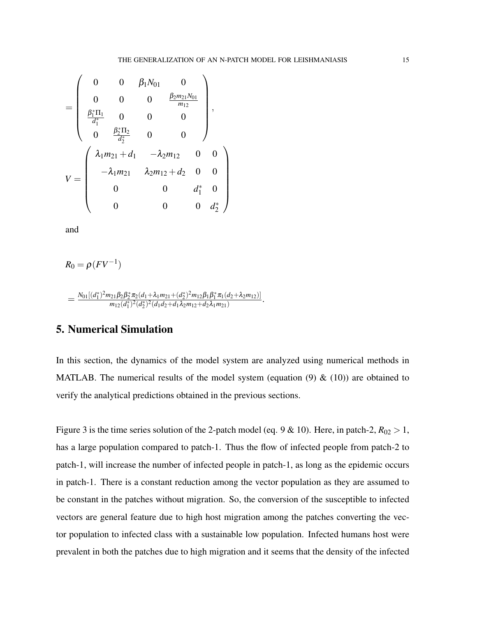$$
V = \begin{pmatrix}\n0 & 0 & \beta_1 N_{01} & 0 \\
0 & 0 & 0 & \frac{\beta_2 m_{21} N_{01}}{m_{12}} \\
\frac{\beta_1^* \Pi_1}{d_1^*} & 0 & 0 & 0 \\
0 & \frac{\beta_2^* \Pi_2}{d_2^*} & 0 & 0\n\end{pmatrix},
$$
\n
$$
V = \begin{pmatrix}\n\lambda_1 m_{21} + d_1 & -\lambda_2 m_{12} & 0 & 0 \\
-\lambda_1 m_{21} & \lambda_2 m_{12} + d_2 & 0 & 0 \\
0 & 0 & d_1^* & 0 \\
0 & 0 & 0 & d_2^*\n\end{pmatrix}
$$

and

$$
R_0 = \rho (F V^{-1})
$$

$$
=\frac{N_{01}[(d_1^*)^2m_{21}\beta_2\beta_2^*\pi_2(d_1+\lambda_1m_{21}+(d_2^*)^2m_{12}\beta_1\beta_1^*\pi_1(d_2+\lambda_2m_{12})]}{m_{12}(d_1^*)^2(d_2^*)^2(d_1d_2+d_1\lambda_2m_{12}+d_2\lambda_1m_{21})}.
$$

## 5. Numerical Simulation

In this section, the dynamics of the model system are analyzed using numerical methods in MATLAB. The numerical results of the model system (equation (9)  $\&$  (10)) are obtained to verify the analytical predictions obtained in the previous sections.

Figure 3 is the time series solution of the 2-patch model (eq. 9 & 10). Here, in patch-2,  $R_{02} > 1$ , has a large population compared to patch-1. Thus the flow of infected people from patch-2 to patch-1, will increase the number of infected people in patch-1, as long as the epidemic occurs in patch-1. There is a constant reduction among the vector population as they are assumed to be constant in the patches without migration. So, the conversion of the susceptible to infected vectors are general feature due to high host migration among the patches converting the vector population to infected class with a sustainable low population. Infected humans host were prevalent in both the patches due to high migration and it seems that the density of the infected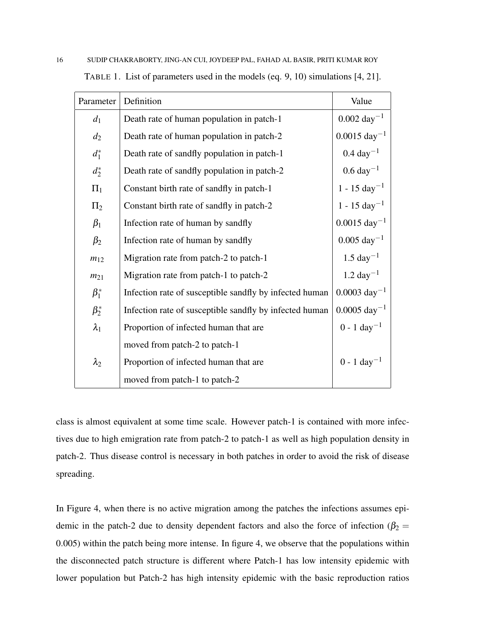| Parameter   | Definition                                              | Value                     |
|-------------|---------------------------------------------------------|---------------------------|
| $d_1$       | Death rate of human population in patch-1               | $0.002 \text{ day}^{-1}$  |
| $d_2$       | Death rate of human population in patch-2               | $0.0015 \text{ day}^{-1}$ |
| $d_1^*$     | Death rate of sandfly population in patch-1             | $0.4 \text{ day}^{-1}$    |
| $d_2^*$     | Death rate of sandfly population in patch-2             | $0.6 \ \text{day}^{-1}$   |
| $\Pi_1$     | Constant birth rate of sandfly in patch-1               | $1 - 15 \text{ day}^{-1}$ |
| $\Pi_2$     | Constant birth rate of sandfly in patch-2               | $1 - 15 \text{ day}^{-1}$ |
| $\beta_1$   | Infection rate of human by sandfly                      | $0.0015 \text{ day}^{-1}$ |
| $\beta_2$   | Infection rate of human by sandfly                      | $0.005 \text{ day}^{-1}$  |
| $m_{12}$    | Migration rate from patch-2 to patch-1                  | $1.5 \text{ day}^{-1}$    |
| $m_{21}$    | Migration rate from patch-1 to patch-2                  | $1.2 \text{ day}^{-1}$    |
| $\beta_1^*$ | Infection rate of susceptible sandfly by infected human | $0.0003 \text{ day}^{-1}$ |
| $\beta_2^*$ | Infection rate of susceptible sandfly by infected human | $0.0005 \text{ day}^{-1}$ |
| $\lambda_1$ | Proportion of infected human that are                   | $0 - 1 \text{ day}^{-1}$  |
|             | moved from patch-2 to patch-1                           |                           |
| $\lambda_2$ | Proportion of infected human that are                   | $0 - 1 \text{ day}^{-1}$  |
|             | moved from patch-1 to patch-2                           |                           |

TABLE 1. List of parameters used in the models (eq. 9, 10) simulations [4, 21].

class is almost equivalent at some time scale. However patch-1 is contained with more infectives due to high emigration rate from patch-2 to patch-1 as well as high population density in patch-2. Thus disease control is necessary in both patches in order to avoid the risk of disease spreading.

In Figure 4, when there is no active migration among the patches the infections assumes epidemic in the patch-2 due to density dependent factors and also the force of infection ( $\beta_2$  = 0.005) within the patch being more intense. In figure 4, we observe that the populations within the disconnected patch structure is different where Patch-1 has low intensity epidemic with lower population but Patch-2 has high intensity epidemic with the basic reproduction ratios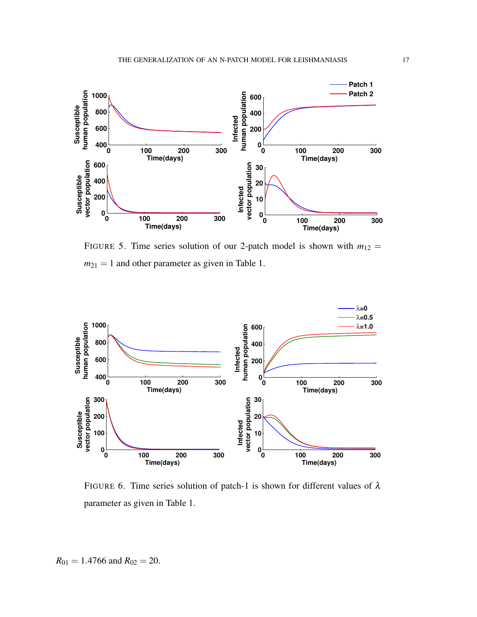

FIGURE 5. Time series solution of our 2-patch model is shown with  $m_{12} =$  $m_{21} = 1$  and other parameter as given in Table 1.



FIGURE 6. Time series solution of patch-1 is shown for different values of  $\lambda$ parameter as given in Table 1.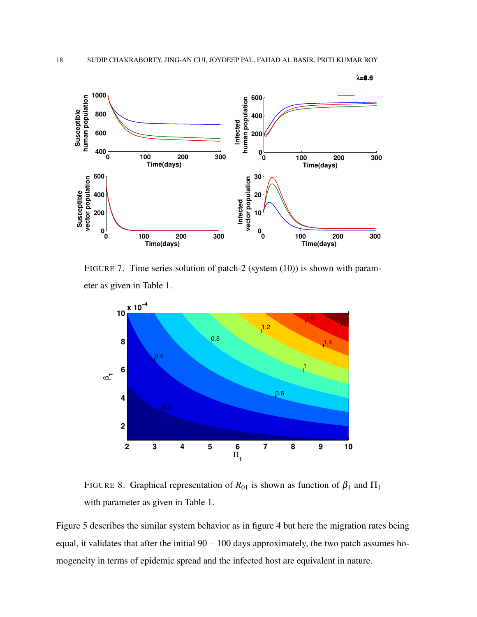

FIGURE 7. Time series solution of patch-2 (system (10)) is shown with parameter as given in Table 1.



FIGURE 8. Graphical representation of  $R_{01}$  is shown as function of  $\beta_1$  and  $\Pi_1$ with parameter as given in Table 1.

Figure 5 describes the similar system behavior as in figure 4 but here the migration rates being equal, it validates that after the initial 90−100 days approximately, the two patch assumes homogeneity in terms of epidemic spread and the infected host are equivalent in nature.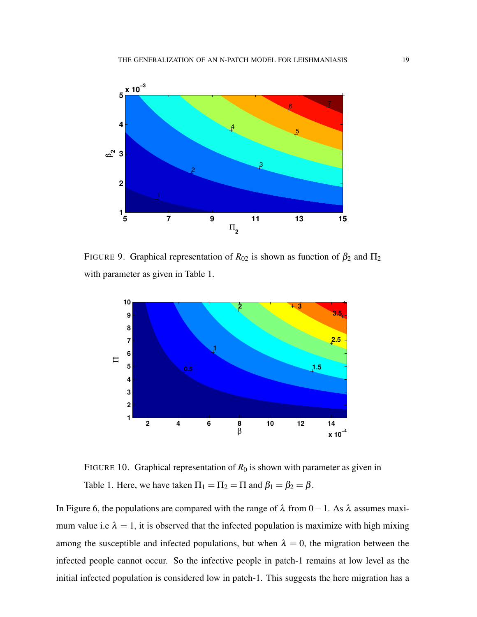

FIGURE 9. Graphical representation of  $R_{02}$  is shown as function of  $\beta_2$  and  $\Pi_2$ with parameter as given in Table 1.



FIGURE 10. Graphical representation of  $R_0$  is shown with parameter as given in Table 1. Here, we have taken  $\Pi_1 = \Pi_2 = \Pi$  and  $\beta_1 = \beta_2 = \beta$ .

In Figure 6, the populations are compared with the range of  $\lambda$  from 0 – 1. As  $\lambda$  assumes maximum value i.e  $\lambda = 1$ , it is observed that the infected population is maximize with high mixing among the susceptible and infected populations, but when  $\lambda = 0$ , the migration between the infected people cannot occur. So the infective people in patch-1 remains at low level as the initial infected population is considered low in patch-1. This suggests the here migration has a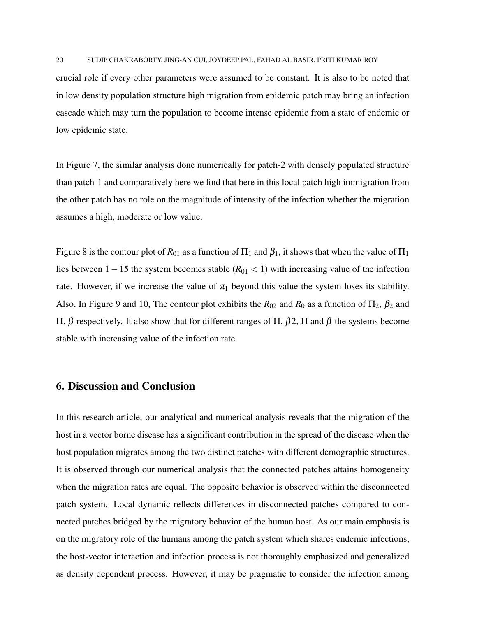crucial role if every other parameters were assumed to be constant. It is also to be noted that in low density population structure high migration from epidemic patch may bring an infection cascade which may turn the population to become intense epidemic from a state of endemic or low epidemic state.

In Figure 7, the similar analysis done numerically for patch-2 with densely populated structure than patch-1 and comparatively here we find that here in this local patch high immigration from the other patch has no role on the magnitude of intensity of the infection whether the migration assumes a high, moderate or low value.

Figure 8 is the contour plot of  $R_{01}$  as a function of  $\Pi_1$  and  $\beta_1$ , it shows that when the value of  $\Pi_1$ lies between 1−15 the system becomes stable (*R*<sup>01</sup> < 1) with increasing value of the infection rate. However, if we increase the value of  $\pi_1$  beyond this value the system loses its stability. Also, In Figure 9 and 10, The contour plot exhibits the  $R_{02}$  and  $R_0$  as a function of  $\Pi_2$ ,  $\beta_2$  and Π, β respectively. It also show that for different ranges of Π, β2, Π and β the systems become stable with increasing value of the infection rate.

### 6. Discussion and Conclusion

In this research article, our analytical and numerical analysis reveals that the migration of the host in a vector borne disease has a significant contribution in the spread of the disease when the host population migrates among the two distinct patches with different demographic structures. It is observed through our numerical analysis that the connected patches attains homogeneity when the migration rates are equal. The opposite behavior is observed within the disconnected patch system. Local dynamic reflects differences in disconnected patches compared to connected patches bridged by the migratory behavior of the human host. As our main emphasis is on the migratory role of the humans among the patch system which shares endemic infections, the host-vector interaction and infection process is not thoroughly emphasized and generalized as density dependent process. However, it may be pragmatic to consider the infection among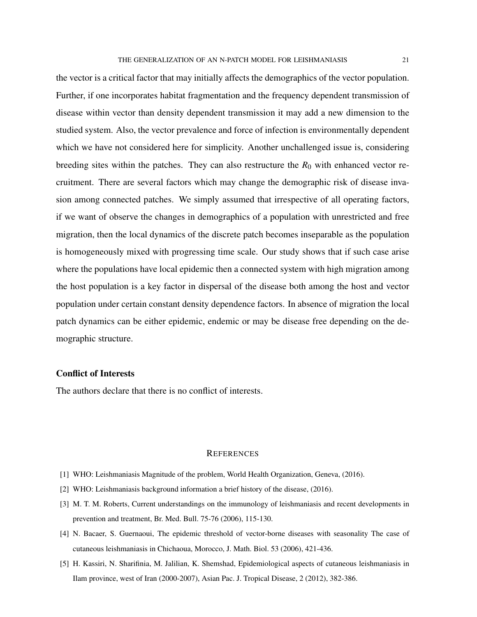the vector is a critical factor that may initially affects the demographics of the vector population. Further, if one incorporates habitat fragmentation and the frequency dependent transmission of disease within vector than density dependent transmission it may add a new dimension to the studied system. Also, the vector prevalence and force of infection is environmentally dependent which we have not considered here for simplicity. Another unchallenged issue is, considering breeding sites within the patches. They can also restructure the  $R_0$  with enhanced vector recruitment. There are several factors which may change the demographic risk of disease invasion among connected patches. We simply assumed that irrespective of all operating factors, if we want of observe the changes in demographics of a population with unrestricted and free migration, then the local dynamics of the discrete patch becomes inseparable as the population is homogeneously mixed with progressing time scale. Our study shows that if such case arise where the populations have local epidemic then a connected system with high migration among the host population is a key factor in dispersal of the disease both among the host and vector population under certain constant density dependence factors. In absence of migration the local patch dynamics can be either epidemic, endemic or may be disease free depending on the demographic structure.

#### Conflict of Interests

The authors declare that there is no conflict of interests.

#### **REFERENCES**

- [1] WHO: Leishmaniasis Magnitude of the problem, World Health Organization, Geneva, (2016).
- [2] WHO: Leishmaniasis background information a brief history of the disease, (2016).
- [3] M. T. M. Roberts, Current understandings on the immunology of leishmaniasis and recent developments in prevention and treatment, Br. Med. Bull. 75-76 (2006), 115-130.
- [4] N. Bacaer, S. Guernaoui, The epidemic threshold of vector-borne diseases with seasonality The case of cutaneous leishmaniasis in Chichaoua, Morocco, J. Math. Biol. 53 (2006), 421-436.
- [5] H. Kassiri, N. Sharifinia, M. Jalilian, K. Shemshad, Epidemiological aspects of cutaneous leishmaniasis in Ilam province, west of Iran (2000-2007), Asian Pac. J. Tropical Disease, 2 (2012), 382-386.